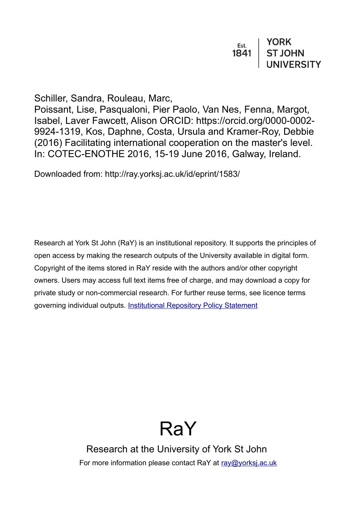| Est. | <b>YORK</b>       |
|------|-------------------|
| 1841 | <b>ST JOHN</b>    |
|      | <b>UNIVERSITY</b> |

Schiller, Sandra, Rouleau, Marc,

Poissant, Lise, Pasqualoni, Pier Paolo, Van Nes, Fenna, Margot, Isabel, Laver Fawcett, Alison ORCID: https://orcid.org/0000-0002- 9924-1319, Kos, Daphne, Costa, Ursula and Kramer-Roy, Debbie (2016) Facilitating international cooperation on the master's level. In: COTEC-ENOTHE 2016, 15-19 June 2016, Galway, Ireland.

Downloaded from: http://ray.yorksj.ac.uk/id/eprint/1583/

Research at York St John (RaY) is an institutional repository. It supports the principles of open access by making the research outputs of the University available in digital form. Copyright of the items stored in RaY reside with the authors and/or other copyright owners. Users may access full text items free of charge, and may download a copy for private study or non-commercial research. For further reuse terms, see licence terms governing individual outputs. [Institutional Repository Policy Statement](https://www.yorksj.ac.uk/ils/repository-policies/)

# RaY

Research at the University of York St John For more information please contact RaY at [ray@yorksj.ac.uk](mailto:ray@yorksj.ac.uk)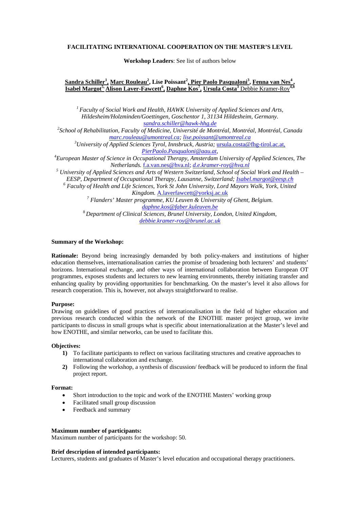## **FACILITATING INTERNATIONAL COOPERATION ON THE MASTER'S LEVEL**

**Workshop Leaders**: See list of authors below

# **Sandra Schiller<sup>1</sup> , Marc Rouleau<sup>2</sup> , Lise Poissant<sup>2</sup> , Pier Paolo Pasqualoni<sup>3</sup> , Fenna van Nes4 , Isabel Margot5, Alison Laver-Fawcett<sup>6</sup> , Daphne Kos7 , Ursula Costa<sup>3</sup>** Debbie Kramer-Roy**4,8**

*<sup>1</sup> Faculty of Social Work and Health, HAWK University of Applied Sciences and Arts, Hildesheim/Holzminden/Goettingen, Goschentor 1, 31134 Hildesheim, Germany. [sandra.schiller@hawk-hhg.de](mailto:sandra.schiller@hawk-hhg.de) <sup>2</sup> School of Rehabilitation, Faculty of Medicine, Université de Montréal, Montréal, Montréal, Canada [marc.rouleau@umontreal.ca;](mailto:marc.rouleau@umontreal.ca) [lise.poissant@umontreal.ca](mailto:lise.poissant@umontreal.ca) <sup>3</sup> University of Applied Sciences Tyrol, Innsbruck, Austria;* [ursula.costa@fhg-tirol.ac.at,](mailto:ursula.costa@fhg-tirol.ac.at) *[PierPaolo.Pasqualoni@aau.at,](mailto:PierPaolo.Pasqualoni@aau.at)* <sup>4</sup> *European Master of Science in Occupational Therapy, Amsterdam University of Applied Sciences, The Netherlands.* <u>[f.a.van.nes@hva.nl;](mailto:f.a.van.nes@hva.nl) *d.e.kramer-roy@hva.nl*<br>
<sup>5</sup> *University of Applied Sciences and Arts of Western Switzerland, School of Social Work and Health –*<br> *EESP, Department of Occupational Therapy, Lausanne, Sw</u> EESP, Department of Occupational Therapy, Department of Acculty of Health and Life Sciences, York St John University, Lord Mayors Walk, York, United Kingdom, A.laverfawcett@yorksj.ac.uk* <sup>7</sup> Flanders' Master programme, KU Leuven & University of Ghent, Belgium. *[daphne.kos@faber.kuleuven.be](mailto:daphne.kos@faber.kuleuven.be)* <sup>8</sup> *Department of Clinical Sciences, Brunel University, London, United Kingdom, [debbie.kramer-roy@brunel.ac.uk](mailto:debbie.kramer-roy@brunel.ac.uk)*

## **Summary of the Workshop:**

**Rationale:** Beyond being increasingly demanded by both policy-makers and institutions of higher education themselves, internationalisation carries the promise of broadening both lecturers' and students' horizons. International exchange, and other ways of international collaboration between European OT programmes, exposes students and lecturers to new learning environments, thereby initiating transfer and enhancing quality by providing opportunities for benchmarking. On the master's level it also allows for research cooperation. This is, however, not always straightforward to realise.

#### **Purpose:**

Drawing on guidelines of good practices of internationalisation in the field of higher education and previous research conducted within the network of the ENOTHE master project group, we invite participants to discuss in small groups what is specific about internationalization at the Master's level and how ENOTHE, and similar networks, can be used to facilitate this.

#### **Objectives:**

- **1)** To facilitate participants to reflect on various facilitating structures and creative approaches to international collaboration and exchange.
- **2)** Following the workshop, a synthesis of discussion/ feedback will be produced to inform the final project report.

#### **Format:**

- Short introduction to the topic and work of the ENOTHE Masters' working group
- Facilitated small group discussion
- Feedback and summary

#### **Maximum number of participants:**

Maximum number of participants for the workshop: 50.

#### **Brief description of intended participants:**

Lecturers, students and graduates of Master's level education and occupational therapy practitioners.